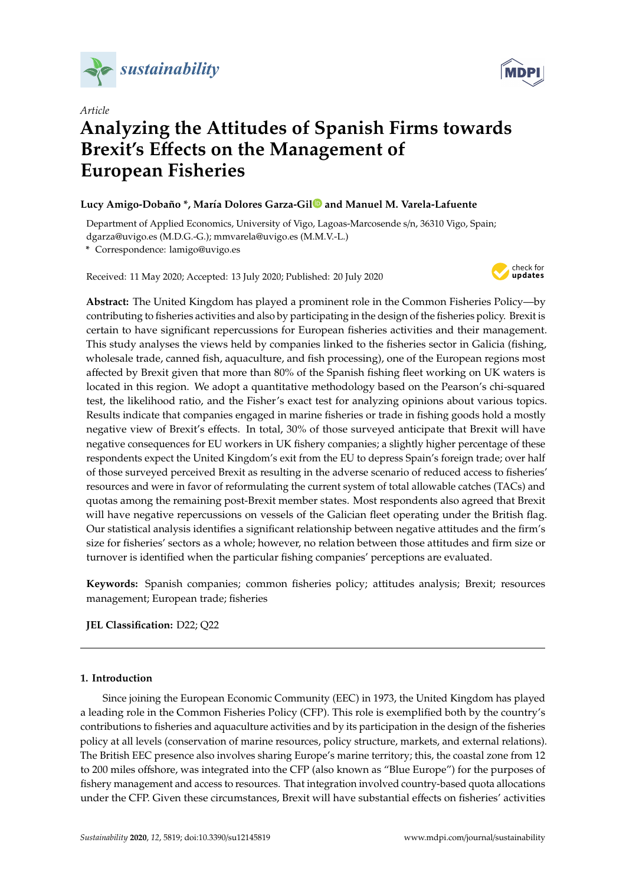

*Article*



# **Analyzing the Attitudes of Spanish Firms towards Brexit's E**ff**ects on the Management of European Fisheries**

## **Lucy Amigo-Dobaño \*, María Dolores Garza-Gi[l](https://orcid.org/0000-0002-2983-221X) and Manuel M. Varela-Lafuente**

Department of Applied Economics, University of Vigo, Lagoas-Marcosende s/n, 36310 Vigo, Spain; dgarza@uvigo.es (M.D.G.-G.); mmvarela@uvigo.es (M.M.V.-L.)

**\*** Correspondence: lamigo@uvigo.es

Received: 11 May 2020; Accepted: 13 July 2020; Published: 20 July 2020



**Abstract:** The United Kingdom has played a prominent role in the Common Fisheries Policy—by contributing to fisheries activities and also by participating in the design of the fisheries policy. Brexit is certain to have significant repercussions for European fisheries activities and their management. This study analyses the views held by companies linked to the fisheries sector in Galicia (fishing, wholesale trade, canned fish, aquaculture, and fish processing), one of the European regions most affected by Brexit given that more than 80% of the Spanish fishing fleet working on UK waters is located in this region. We adopt a quantitative methodology based on the Pearson's chi-squared test, the likelihood ratio, and the Fisher's exact test for analyzing opinions about various topics. Results indicate that companies engaged in marine fisheries or trade in fishing goods hold a mostly negative view of Brexit's effects. In total, 30% of those surveyed anticipate that Brexit will have negative consequences for EU workers in UK fishery companies; a slightly higher percentage of these respondents expect the United Kingdom's exit from the EU to depress Spain's foreign trade; over half of those surveyed perceived Brexit as resulting in the adverse scenario of reduced access to fisheries' resources and were in favor of reformulating the current system of total allowable catches (TACs) and quotas among the remaining post-Brexit member states. Most respondents also agreed that Brexit will have negative repercussions on vessels of the Galician fleet operating under the British flag. Our statistical analysis identifies a significant relationship between negative attitudes and the firm's size for fisheries' sectors as a whole; however, no relation between those attitudes and firm size or turnover is identified when the particular fishing companies' perceptions are evaluated.

**Keywords:** Spanish companies; common fisheries policy; attitudes analysis; Brexit; resources management; European trade; fisheries

## **JEL Classification:** D22; Q22

### **1. Introduction**

Since joining the European Economic Community (EEC) in 1973, the United Kingdom has played a leading role in the Common Fisheries Policy (CFP). This role is exemplified both by the country's contributions to fisheries and aquaculture activities and by its participation in the design of the fisheries policy at all levels (conservation of marine resources, policy structure, markets, and external relations). The British EEC presence also involves sharing Europe's marine territory; this, the coastal zone from 12 to 200 miles offshore, was integrated into the CFP (also known as "Blue Europe") for the purposes of fishery management and access to resources. That integration involved country-based quota allocations under the CFP. Given these circumstances, Brexit will have substantial effects on fisheries' activities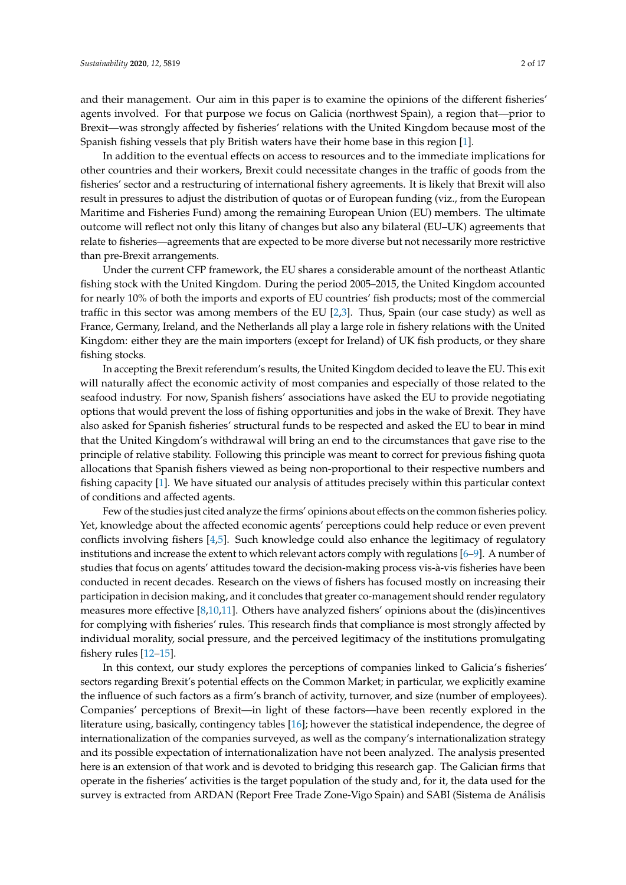and their management. Our aim in this paper is to examine the opinions of the different fisheries' agents involved. For that purpose we focus on Galicia (northwest Spain), a region that—prior to Brexit—was strongly affected by fisheries' relations with the United Kingdom because most of the Spanish fishing vessels that ply British waters have their home base in this region [\[1\]](#page-15-0).

In addition to the eventual effects on access to resources and to the immediate implications for other countries and their workers, Brexit could necessitate changes in the traffic of goods from the fisheries' sector and a restructuring of international fishery agreements. It is likely that Brexit will also result in pressures to adjust the distribution of quotas or of European funding (viz., from the European Maritime and Fisheries Fund) among the remaining European Union (EU) members. The ultimate outcome will reflect not only this litany of changes but also any bilateral (EU–UK) agreements that relate to fisheries—agreements that are expected to be more diverse but not necessarily more restrictive than pre-Brexit arrangements.

Under the current CFP framework, the EU shares a considerable amount of the northeast Atlantic fishing stock with the United Kingdom. During the period 2005–2015, the United Kingdom accounted for nearly 10% of both the imports and exports of EU countries' fish products; most of the commercial traffic in this sector was among members of the EU [\[2](#page-15-1)[,3\]](#page-15-2). Thus, Spain (our case study) as well as France, Germany, Ireland, and the Netherlands all play a large role in fishery relations with the United Kingdom: either they are the main importers (except for Ireland) of UK fish products, or they share fishing stocks.

In accepting the Brexit referendum's results, the United Kingdom decided to leave the EU. This exit will naturally affect the economic activity of most companies and especially of those related to the seafood industry. For now, Spanish fishers' associations have asked the EU to provide negotiating options that would prevent the loss of fishing opportunities and jobs in the wake of Brexit. They have also asked for Spanish fisheries' structural funds to be respected and asked the EU to bear in mind that the United Kingdom's withdrawal will bring an end to the circumstances that gave rise to the principle of relative stability. Following this principle was meant to correct for previous fishing quota allocations that Spanish fishers viewed as being non-proportional to their respective numbers and fishing capacity [\[1\]](#page-15-0). We have situated our analysis of attitudes precisely within this particular context of conditions and affected agents.

Few of the studies just cited analyze the firms' opinions about effects on the common fisheries policy. Yet, knowledge about the affected economic agents' perceptions could help reduce or even prevent conflicts involving fishers [\[4](#page-15-3)[,5\]](#page-15-4). Such knowledge could also enhance the legitimacy of regulatory institutions and increase the extent to which relevant actors comply with regulations [\[6–](#page-15-5)[9\]](#page-15-6). A number of studies that focus on agents' attitudes toward the decision-making process vis-à-vis fisheries have been conducted in recent decades. Research on the views of fishers has focused mostly on increasing their participation in decision making, and it concludes that greater co-management should render regulatory measures more effective [\[8,](#page-15-7)[10,](#page-15-8)[11\]](#page-15-9). Others have analyzed fishers' opinions about the (dis)incentives for complying with fisheries' rules. This research finds that compliance is most strongly affected by individual morality, social pressure, and the perceived legitimacy of the institutions promulgating fishery rules [\[12–](#page-15-10)[15\]](#page-15-11).

In this context, our study explores the perceptions of companies linked to Galicia's fisheries' sectors regarding Brexit's potential effects on the Common Market; in particular, we explicitly examine the influence of such factors as a firm's branch of activity, turnover, and size (number of employees). Companies' perceptions of Brexit—in light of these factors—have been recently explored in the literature using, basically, contingency tables [\[16\]](#page-15-12); however the statistical independence, the degree of internationalization of the companies surveyed, as well as the company's internationalization strategy and its possible expectation of internationalization have not been analyzed. The analysis presented here is an extension of that work and is devoted to bridging this research gap. The Galician firms that operate in the fisheries' activities is the target population of the study and, for it, the data used for the survey is extracted from ARDAN (Report Free Trade Zone-Vigo Spain) and SABI (Sistema de Análisis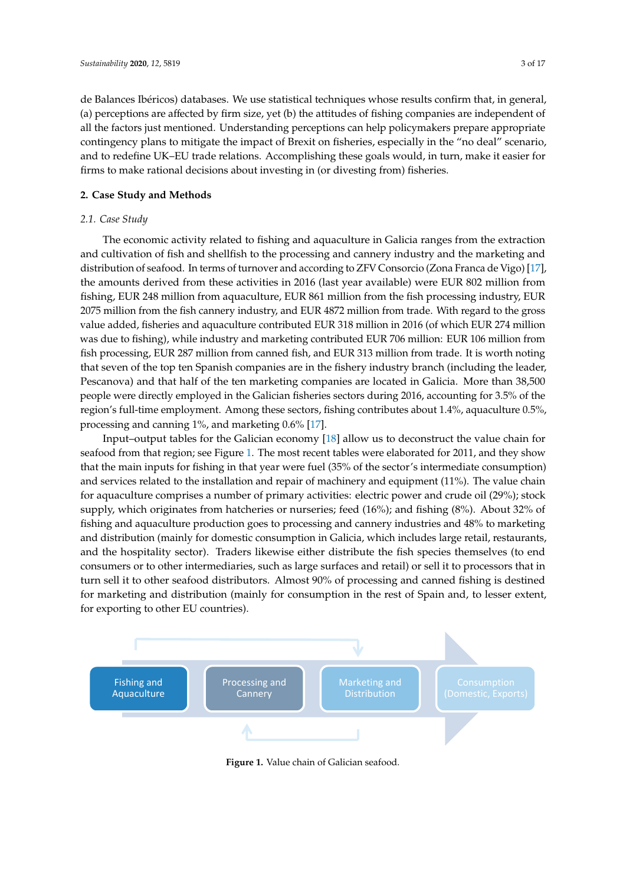de Balances Ibéricos) databases. We use statistical techniques whose results confirm that, in general, (a) perceptions are affected by firm size, yet (b) the attitudes of fishing companies are independent of all the factors just mentioned. Understanding perceptions can help policymakers prepare appropriate contingency plans to mitigate the impact of Brexit on fisheries, especially in the "no deal" scenario, and to redefine UK–EU trade relations. Accomplishing these goals would, in turn, make it easier for firms to make rational decisions about investing in (or divesting from) fisheries.<br>**2. Case of an**d the state of the sistem of the rishests.

## **2. Case Study and Methods** *2.1. Case Study*

#### *2.1. Case Study*  $\sigma$  except relativity relations  $\sigma$  finds the extraction  $\sigma$

The economic activity related to fishing and aquaculture in Galicia ranges from the extraction and cultivation of fish and shellfish to the processing and cannery industry and the marketing and distribution of seafood. In terms of turnover and according to ZFV Consorcio (Zona Franca de Vigo) [17], the amounts derived from these activities in 2016 (last year available) were EUR 802 million from fishing, EUR 248 million from aquaculture, EUR 861 million from the fish processing industry, EUR 2075 million from the fish cannery industry, and EUR 4872 million from trade. With regard to the gross value added, fisheries and aquaculture contributed EUR 318 million in 2016 (of which EUR 274 million was due to fishing), while industry and marketing contributed EUR 706 million: EUR 106 million from fish processing, EUR 287 million from canned fish, and EUR 313 million from trade. It is worth noting that seven of the top ten Spanish companies are in the fishery industry branch (including the leader, Pescanova) and that half of the ten marketing companies are located in Galicia. More than 38,500 people were directly employed in the Galician fisheries sectors during 2016, accounting for 3.5% of the region's full-time employment. Among these sectors, fishing contributes about 1.4%, aquaculture 0.5%, processing and canning 1%, and marketing  $0.6\%$  [17].

Input-output tables for the Galician economy [18] allow us to deconstruct the value chain for seafood from that region; see Figure 1. The most recent tables were elaborated for 2011, and they [sh](#page-2-0)ow that the main inputs for fishing in that year were fuel (35% of the sector's intermediate consumption) and services related to the installation and repair of machinery and equipment (11%). The value chain for aquaculture comprises a number of primary activities: electric power and crude oil (29%); stock supply, which originates from hatcheries or nurseries; feed (16%); and fishing (8%). About 32% of fishing and aquaculture production goes to processing and cannery industries and 48% to marketing and distribution (mainly for domestic consumption in Galicia, which includes large retail, restaurants, and the hospitality sector). Traders likewise either distribute the fish species themselves (to end consumers or to other intermediaries, such as large surfaces and retail) or sell it to processors that in turn sell it to other seafood distributors. Almost 90% of processing and canned fishing is destined for marketing and distribution (mainly for consumption in the rest of Spain and, to lesser extent, for exporting to other EU countries).

<span id="page-2-0"></span>

**Figure 1.** Value chain of Galician seafood. **Figure 1.** Value chain of Galician seafood.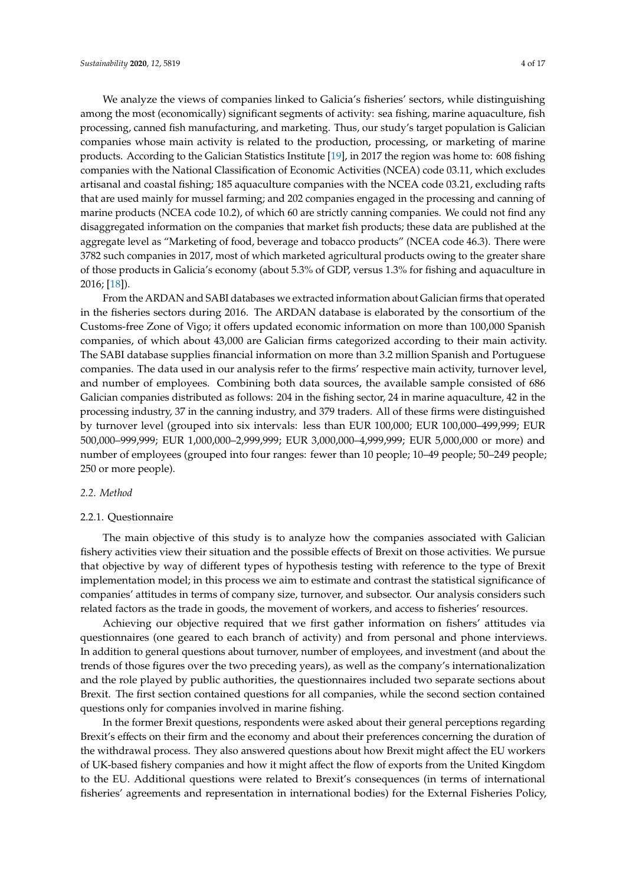We analyze the views of companies linked to Galicia's fisheries' sectors, while distinguishing among the most (economically) significant segments of activity: sea fishing, marine aquaculture, fish processing, canned fish manufacturing, and marketing. Thus, our study's target population is Galician companies whose main activity is related to the production, processing, or marketing of marine products. According to the Galician Statistics Institute [\[19\]](#page-15-15), in 2017 the region was home to: 608 fishing companies with the National Classification of Economic Activities (NCEA) code 03.11, which excludes artisanal and coastal fishing; 185 aquaculture companies with the NCEA code 03.21, excluding rafts that are used mainly for mussel farming; and 202 companies engaged in the processing and canning of marine products (NCEA code 10.2), of which 60 are strictly canning companies. We could not find any disaggregated information on the companies that market fish products; these data are published at the aggregate level as "Marketing of food, beverage and tobacco products" (NCEA code 46.3). There were 3782 such companies in 2017, most of which marketed agricultural products owing to the greater share of those products in Galicia's economy (about 5.3% of GDP, versus 1.3% for fishing and aquaculture in 2016; [\[18\]](#page-15-14)).

From the ARDAN and SABI databases we extracted information about Galician firms that operated in the fisheries sectors during 2016. The ARDAN database is elaborated by the consortium of the Customs-free Zone of Vigo; it offers updated economic information on more than 100,000 Spanish companies, of which about 43,000 are Galician firms categorized according to their main activity. The SABI database supplies financial information on more than 3.2 million Spanish and Portuguese companies. The data used in our analysis refer to the firms' respective main activity, turnover level, and number of employees. Combining both data sources, the available sample consisted of 686 Galician companies distributed as follows: 204 in the fishing sector, 24 in marine aquaculture, 42 in the processing industry, 37 in the canning industry, and 379 traders. All of these firms were distinguished by turnover level (grouped into six intervals: less than EUR 100,000; EUR 100,000–499,999; EUR 500,000–999,999; EUR 1,000,000–2,999,999; EUR 3,000,000–4,999,999; EUR 5,000,000 or more) and number of employees (grouped into four ranges: fewer than 10 people; 10–49 people; 50–249 people; 250 or more people).

#### *2.2. Method*

#### 2.2.1. Questionnaire

The main objective of this study is to analyze how the companies associated with Galician fishery activities view their situation and the possible effects of Brexit on those activities. We pursue that objective by way of different types of hypothesis testing with reference to the type of Brexit implementation model; in this process we aim to estimate and contrast the statistical significance of companies' attitudes in terms of company size, turnover, and subsector. Our analysis considers such related factors as the trade in goods, the movement of workers, and access to fisheries' resources.

Achieving our objective required that we first gather information on fishers' attitudes via questionnaires (one geared to each branch of activity) and from personal and phone interviews. In addition to general questions about turnover, number of employees, and investment (and about the trends of those figures over the two preceding years), as well as the company's internationalization and the role played by public authorities, the questionnaires included two separate sections about Brexit. The first section contained questions for all companies, while the second section contained questions only for companies involved in marine fishing.

In the former Brexit questions, respondents were asked about their general perceptions regarding Brexit's effects on their firm and the economy and about their preferences concerning the duration of the withdrawal process. They also answered questions about how Brexit might affect the EU workers of UK-based fishery companies and how it might affect the flow of exports from the United Kingdom to the EU. Additional questions were related to Brexit's consequences (in terms of international fisheries' agreements and representation in international bodies) for the External Fisheries Policy,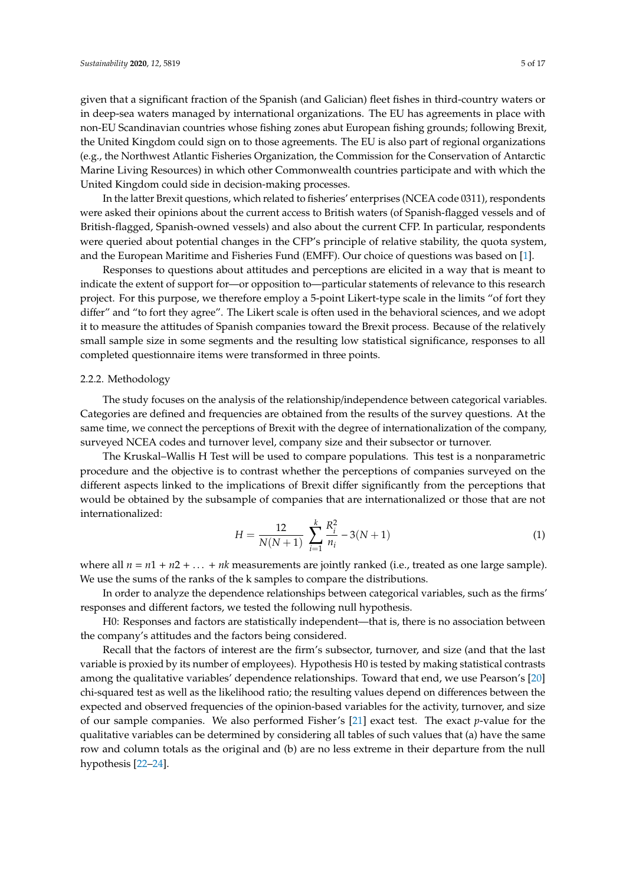given that a significant fraction of the Spanish (and Galician) fleet fishes in third-country waters or in deep-sea waters managed by international organizations. The EU has agreements in place with non-EU Scandinavian countries whose fishing zones abut European fishing grounds; following Brexit, the United Kingdom could sign on to those agreements. The EU is also part of regional organizations (e.g., the Northwest Atlantic Fisheries Organization, the Commission for the Conservation of Antarctic Marine Living Resources) in which other Commonwealth countries participate and with which the United Kingdom could side in decision-making processes.

In the latter Brexit questions, which related to fisheries' enterprises (NCEA code 0311), respondents were asked their opinions about the current access to British waters (of Spanish-flagged vessels and of British-flagged, Spanish-owned vessels) and also about the current CFP. In particular, respondents were queried about potential changes in the CFP's principle of relative stability, the quota system, and the European Maritime and Fisheries Fund (EMFF). Our choice of questions was based on [\[1\]](#page-15-0).

Responses to questions about attitudes and perceptions are elicited in a way that is meant to indicate the extent of support for—or opposition to—particular statements of relevance to this research project. For this purpose, we therefore employ a 5-point Likert-type scale in the limits "of fort they differ" and "to fort they agree". The Likert scale is often used in the behavioral sciences, and we adopt it to measure the attitudes of Spanish companies toward the Brexit process. Because of the relatively small sample size in some segments and the resulting low statistical significance, responses to all completed questionnaire items were transformed in three points.

#### 2.2.2. Methodology

The study focuses on the analysis of the relationship/independence between categorical variables. Categories are defined and frequencies are obtained from the results of the survey questions. At the same time, we connect the perceptions of Brexit with the degree of internationalization of the company, surveyed NCEA codes and turnover level, company size and their subsector or turnover.

The Kruskal–Wallis H Test will be used to compare populations. This test is a nonparametric procedure and the objective is to contrast whether the perceptions of companies surveyed on the different aspects linked to the implications of Brexit differ significantly from the perceptions that would be obtained by the subsample of companies that are internationalized or those that are not internationalized:

$$
H = \frac{12}{N(N+1)} \sum_{i=1}^{k} \frac{R_i^2}{n_i} - 3(N+1)
$$
 (1)

where all  $n = n_1 + n_2 + \ldots + nk$  measurements are jointly ranked (i.e., treated as one large sample). We use the sums of the ranks of the k samples to compare the distributions.

In order to analyze the dependence relationships between categorical variables, such as the firms' responses and different factors, we tested the following null hypothesis.

H0: Responses and factors are statistically independent—that is, there is no association between the company's attitudes and the factors being considered.

Recall that the factors of interest are the firm's subsector, turnover, and size (and that the last variable is proxied by its number of employees). Hypothesis H0 is tested by making statistical contrasts among the qualitative variables' dependence relationships. Toward that end, we use Pearson's [\[20\]](#page-15-16) chi-squared test as well as the likelihood ratio; the resulting values depend on differences between the expected and observed frequencies of the opinion-based variables for the activity, turnover, and size of our sample companies. We also performed Fisher's [\[21\]](#page-16-0) exact test. The exact *p*-value for the qualitative variables can be determined by considering all tables of such values that (a) have the same row and column totals as the original and (b) are no less extreme in their departure from the null hypothesis [\[22](#page-16-1)[–24\]](#page-16-2).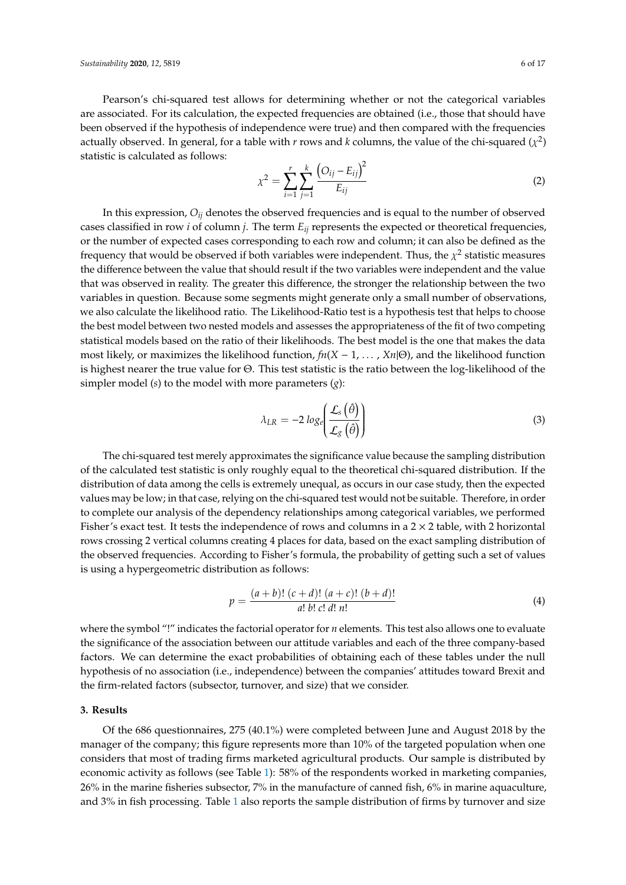Pearson's chi-squared test allows for determining whether or not the categorical variables are associated. For its calculation, the expected frequencies are obtained (i.e., those that should have been observed if the hypothesis of independence were true) and then compared with the frequencies actually observed. In general, for a table with *r* rows and *k* columns, the value of the chi-squared ( $\chi^2$ ) statistic is calculated as follows:

$$
\chi^2 = \sum_{i=1}^r \sum_{j=1}^k \frac{\left(O_{ij} - E_{ij}\right)^2}{E_{ij}}
$$
(2)

In this expression, *Oij* denotes the observed frequencies and is equal to the number of observed cases classified in row *i* of column *j*. The term *Eij* represents the expected or theoretical frequencies, or the number of expected cases corresponding to each row and column; it can also be defined as the frequency that would be observed if both variables were independent. Thus, the  $\chi^2$  statistic measures the difference between the value that should result if the two variables were independent and the value that was observed in reality. The greater this difference, the stronger the relationship between the two variables in question. Because some segments might generate only a small number of observations, we also calculate the likelihood ratio. The Likelihood-Ratio test is a hypothesis test that helps to choose the best model between two nested models and assesses the appropriateness of the fit of two competing statistical models based on the ratio of their likelihoods. The best model is the one that makes the data most likely, or maximizes the likelihood function, *fn*(*X* − 1, . . . , *Xn*|Θ), and the likelihood function is highest nearer the true value for Θ. This test statistic is the ratio between the log-likelihood of the simpler model (*s*) to the model with more parameters (*g*):

$$
\lambda_{LR} = -2 \log_e \left( \frac{\mathcal{L}_s(\hat{\theta})}{\mathcal{L}_g(\hat{\theta})} \right) \tag{3}
$$

The chi-squared test merely approximates the significance value because the sampling distribution of the calculated test statistic is only roughly equal to the theoretical chi-squared distribution. If the distribution of data among the cells is extremely unequal, as occurs in our case study, then the expected values may be low; in that case, relying on the chi-squared test would not be suitable. Therefore, in order to complete our analysis of the dependency relationships among categorical variables, we performed Fisher's exact test. It tests the independence of rows and columns in a  $2 \times 2$  table, with 2 horizontal rows crossing 2 vertical columns creating 4 places for data, based on the exact sampling distribution of the observed frequencies. According to Fisher's formula, the probability of getting such a set of values is using a hypergeometric distribution as follows:

$$
p = \frac{(a+b)! (c+d)! (a+c)! (b+d)!}{a! b! c! d! n!}
$$
 (4)

where the symbol "!" indicates the factorial operator for *n* elements. This test also allows one to evaluate the significance of the association between our attitude variables and each of the three company-based factors. We can determine the exact probabilities of obtaining each of these tables under the null hypothesis of no association (i.e., independence) between the companies' attitudes toward Brexit and the firm-related factors (subsector, turnover, and size) that we consider.

#### **3. Results**

Of the 686 questionnaires, 275 (40.1%) were completed between June and August 2018 by the manager of the company; this figure represents more than 10% of the targeted population when one considers that most of trading firms marketed agricultural products. Our sample is distributed by economic activity as follows (see Table [1\)](#page-6-0): 58% of the respondents worked in marketing companies, 26% in the marine fisheries subsector, 7% in the manufacture of canned fish, 6% in marine aquaculture, and 3% in fish processing. Table [1](#page-6-0) also reports the sample distribution of firms by turnover and size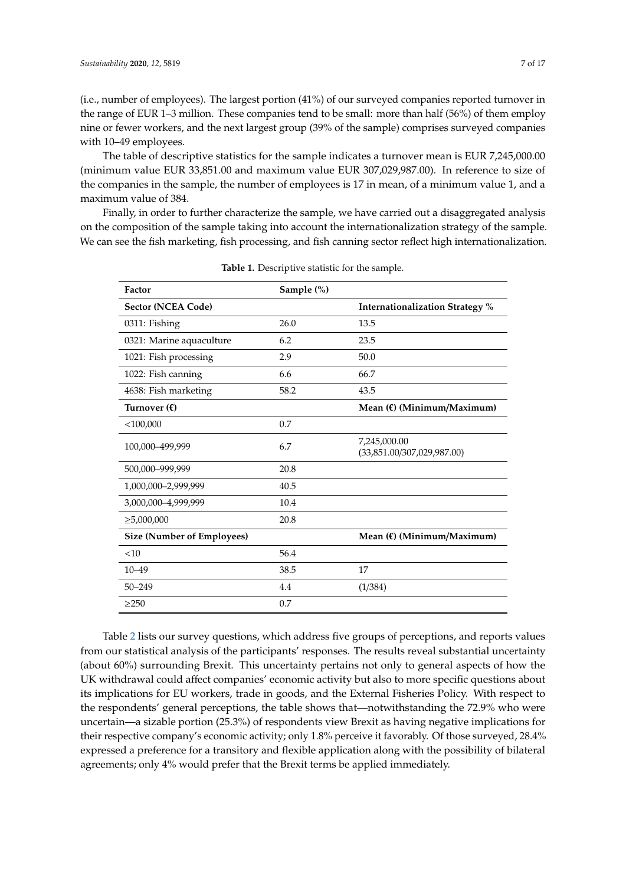(i.e., number of employees). The largest portion (41%) of our surveyed companies reported turnover in the range of EUR 1–3 million. These companies tend to be small: more than half (56%) of them employ nine or fewer workers, and the next largest group (39% of the sample) comprises surveyed companies with 10–49 employees.

The table of descriptive statistics for the sample indicates a turnover mean is EUR 7,245,000.00 (minimum value EUR 33,851.00 and maximum value EUR 307,029,987.00). In reference to size of the companies in the sample, the number of employees is 17 in mean, of a minimum value 1, and a maximum value of 384.

Finally, in order to further characterize the sample, we have carried out a disaggregated analysis on the composition of the sample taking into account the internationalization strategy of the sample. We can see the fish marketing, fish processing, and fish canning sector reflect high internationalization.

<span id="page-6-0"></span>

| Factor                            | Sample (%) |                                            |
|-----------------------------------|------------|--------------------------------------------|
| <b>Sector (NCEA Code)</b>         |            | <b>Internationalization Strategy %</b>     |
| 0311: Fishing                     | 26.0       | 13.5                                       |
| 0321: Marine aquaculture          | 6.2        | 23.5                                       |
| 1021: Fish processing             | 2.9        | 50.0                                       |
| 1022: Fish canning                | 6.6        | 66.7                                       |
| 4638: Fish marketing              | 58.2       | 43.5                                       |
| Turnover (€)                      |            | Mean $(E)$ (Minimum/Maximum)               |
| $<$ 100,000                       | 0.7        |                                            |
| 100,000-499,999                   | 6.7        | 7,245,000.00<br>(33,851.00/307,029,987.00) |
| 500,000-999,999                   | 20.8       |                                            |
| 1,000,000-2,999,999               | 40.5       |                                            |
| 3,000,000-4,999,999               | 10.4       |                                            |
| $\geq 5,000,000$                  | 20.8       |                                            |
| <b>Size (Number of Employees)</b> |            | Mean $(E)$ (Minimum/Maximum)               |
| <10                               | 56.4       |                                            |
| $10 - 49$                         | 38.5       | 17                                         |
| $50 - 249$                        | 4.4        | (1/384)                                    |
| >250                              | 0.7        |                                            |

**Table 1.** Descriptive statistic for the sample.

Table [2](#page-7-0) lists our survey questions, which address five groups of perceptions, and reports values from our statistical analysis of the participants' responses. The results reveal substantial uncertainty (about 60%) surrounding Brexit. This uncertainty pertains not only to general aspects of how the UK withdrawal could affect companies' economic activity but also to more specific questions about its implications for EU workers, trade in goods, and the External Fisheries Policy. With respect to the respondents' general perceptions, the table shows that—notwithstanding the 72.9% who were uncertain—a sizable portion (25.3%) of respondents view Brexit as having negative implications for their respective company's economic activity; only 1.8% perceive it favorably. Of those surveyed, 28.4% expressed a preference for a transitory and flexible application along with the possibility of bilateral agreements; only 4% would prefer that the Brexit terms be applied immediately.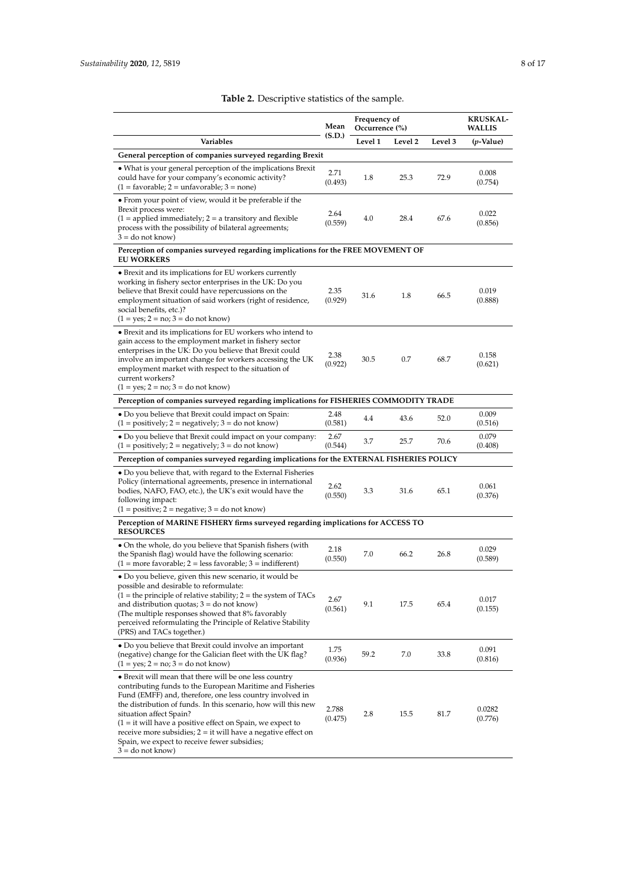<span id="page-7-0"></span>

|                                                                                                                                                                                                                                                                                                                                                                                                                                                                                       | Mean             | <b>Frequency of</b><br>Occurrence $(\% )$ |         |         | <b>KRUSKAL-</b><br><b>WALLIS</b> |
|---------------------------------------------------------------------------------------------------------------------------------------------------------------------------------------------------------------------------------------------------------------------------------------------------------------------------------------------------------------------------------------------------------------------------------------------------------------------------------------|------------------|-------------------------------------------|---------|---------|----------------------------------|
| Variables                                                                                                                                                                                                                                                                                                                                                                                                                                                                             | (S.D.)           | Level 1                                   | Level 2 | Level 3 | ( <i>p</i> -Value)               |
| General perception of companies surveyed regarding Brexit                                                                                                                                                                                                                                                                                                                                                                                                                             |                  |                                           |         |         |                                  |
| • What is your general perception of the implications Brexit<br>could have for your company's economic activity?<br>$(1 = \text{favorable}; 2 = \text{unfavorable}; 3 = \text{none})$                                                                                                                                                                                                                                                                                                 | 2.71<br>(0.493)  | 1.8                                       | 25.3    | 72.9    | 0.008<br>(0.754)                 |
| • From your point of view, would it be preferable if the<br>Brexit process were:<br>$(1 =$ applied immediately; $2 =$ a transitory and flexible<br>process with the possibility of bilateral agreements;<br>$3 =$ do not know)                                                                                                                                                                                                                                                        | 2.64<br>(0.559)  | 4.0                                       | 28.4    | 67.6    | 0.022<br>(0.856)                 |
| Perception of companies surveyed regarding implications for the FREE MOVEMENT OF<br><b>EU WORKERS</b>                                                                                                                                                                                                                                                                                                                                                                                 |                  |                                           |         |         |                                  |
| • Brexit and its implications for EU workers currently<br>working in fishery sector enterprises in the UK: Do you<br>believe that Brexit could have repercussions on the<br>employment situation of said workers (right of residence,<br>social benefits, etc.)?<br>$(1 = yes; 2 = no; 3 = do not know)$                                                                                                                                                                              | 2.35<br>(0.929)  | 31.6                                      | 1.8     | 66.5    | 0.019<br>(0.888)                 |
| • Brexit and its implications for EU workers who intend to<br>gain access to the employment market in fishery sector<br>enterprises in the UK: Do you believe that Brexit could<br>involve an important change for workers accessing the UK<br>employment market with respect to the situation of<br>current workers?<br>$(1 = yes; 2 = no; 3 = do not know)$                                                                                                                         | 2.38<br>(0.922)  | 30.5                                      | 0.7     | 68.7    | 0.158<br>(0.621)                 |
| Perception of companies surveyed regarding implications for FISHERIES COMMODITY TRADE                                                                                                                                                                                                                                                                                                                                                                                                 |                  |                                           |         |         |                                  |
| $\bullet$ Do you believe that Brexit could impact on Spain:<br>$(1 =$ positively; $2 =$ negatively; $3 =$ do not know)                                                                                                                                                                                                                                                                                                                                                                | 2.48<br>(0.581)  | 4.4                                       | 43.6    | 52.0    | 0.009<br>(0.516)                 |
| • Do you believe that Brexit could impact on your company:<br>$(1 =$ positively; $2 =$ negatively; $3 =$ do not know)                                                                                                                                                                                                                                                                                                                                                                 | 2.67<br>(0.544)  | 3.7                                       | 25.7    | 70.6    | 0.079<br>(0.408)                 |
| Perception of companies surveyed regarding implications for the EXTERNAL FISHERIES POLICY                                                                                                                                                                                                                                                                                                                                                                                             |                  |                                           |         |         |                                  |
| • Do you believe that, with regard to the External Fisheries<br>Policy (international agreements, presence in international<br>bodies, NAFO, FAO, etc.), the UK's exit would have the<br>following impact:<br>$(1 = positive; 2 = negative; 3 = do not know)$                                                                                                                                                                                                                         | 2.62<br>(0.550)  | 3.3                                       | 31.6    | 65.1    | 0.061<br>(0.376)                 |
| Perception of MARINE FISHERY firms surveyed regarding implications for ACCESS TO<br><b>RESOURCES</b>                                                                                                                                                                                                                                                                                                                                                                                  |                  |                                           |         |         |                                  |
| • On the whole, do you believe that Spanish fishers (with $\overline{\phantom{a}}$<br>the Spanish flag) would have the following scenario:<br>$(1 = more favorable; 2 = less favorable; 3 = indifferent)$                                                                                                                                                                                                                                                                             | 2.18<br>(0.550)  | 7.0                                       | 66.2    | 26.8    | 0.029<br>(0.589)                 |
| $\bullet$ Do you believe, given this new scenario, it would be<br>possible and desirable to reformulate:<br>$(1 =$ the principle of relative stability; $2 =$ the system of TACs<br>and distribution quotas; $3 =$ do not know)<br>(The multiple responses showed that 8% favorably)<br>perceived reformulating the Principle of Relative Stability<br>(PRS) and TACs together.)                                                                                                      | 2.67<br>(0.561)  | 9.1                                       | 17.5    | 65.4    | 0.017<br>(0.155)                 |
| $\bullet$ Do you believe that Brexit could involve an important<br>(negative) change for the Galician fleet with the UK flag?<br>$(1 = yes; 2 = no; 3 = do not know)$                                                                                                                                                                                                                                                                                                                 | 1.75<br>(0.936)  | 59.2                                      | 7.0     | 33.8    | 0.091<br>(0.816)                 |
| • Brexit will mean that there will be one less country<br>contributing funds to the European Maritime and Fisheries<br>Fund (EMFF) and, therefore, one less country involved in<br>the distribution of funds. In this scenario, how will this new<br>situation affect Spain?<br>$(1 = it will have a positive effect on Spain, we expect to$<br>receive more subsidies; $2 = it$ will have a negative effect on<br>Spain, we expect to receive fewer subsidies;<br>$3 =$ do not know) | 2.788<br>(0.475) | 2.8                                       | 15.5    | 81.7    | 0.0282<br>(0.776)                |

## **Table 2.** Descriptive statistics of the sample.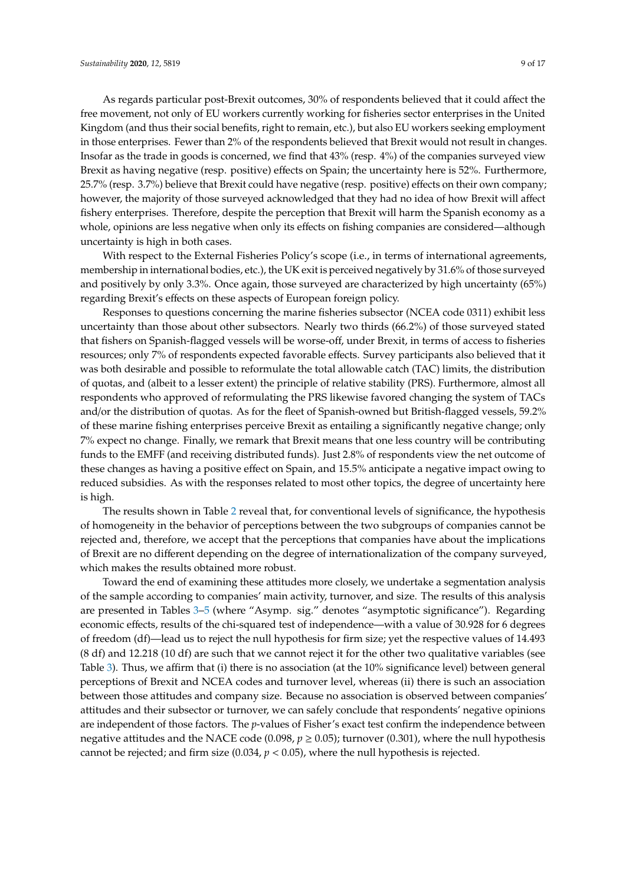As regards particular post-Brexit outcomes, 30% of respondents believed that it could affect the free movement, not only of EU workers currently working for fisheries sector enterprises in the United Kingdom (and thus their social benefits, right to remain, etc.), but also EU workers seeking employment in those enterprises. Fewer than 2% of the respondents believed that Brexit would not result in changes. Insofar as the trade in goods is concerned, we find that 43% (resp. 4%) of the companies surveyed view Brexit as having negative (resp. positive) effects on Spain; the uncertainty here is 52%. Furthermore, 25.7% (resp. 3.7%) believe that Brexit could have negative (resp. positive) effects on their own company; however, the majority of those surveyed acknowledged that they had no idea of how Brexit will affect fishery enterprises. Therefore, despite the perception that Brexit will harm the Spanish economy as a whole, opinions are less negative when only its effects on fishing companies are considered—although uncertainty is high in both cases.

With respect to the External Fisheries Policy's scope (i.e., in terms of international agreements, membership in international bodies, etc.), the UK exit is perceived negatively by 31.6% of those surveyed and positively by only 3.3%. Once again, those surveyed are characterized by high uncertainty (65%) regarding Brexit's effects on these aspects of European foreign policy.

Responses to questions concerning the marine fisheries subsector (NCEA code 0311) exhibit less uncertainty than those about other subsectors. Nearly two thirds (66.2%) of those surveyed stated that fishers on Spanish-flagged vessels will be worse-off, under Brexit, in terms of access to fisheries resources; only 7% of respondents expected favorable effects. Survey participants also believed that it was both desirable and possible to reformulate the total allowable catch (TAC) limits, the distribution of quotas, and (albeit to a lesser extent) the principle of relative stability (PRS). Furthermore, almost all respondents who approved of reformulating the PRS likewise favored changing the system of TACs and/or the distribution of quotas. As for the fleet of Spanish-owned but British-flagged vessels, 59.2% of these marine fishing enterprises perceive Brexit as entailing a significantly negative change; only 7% expect no change. Finally, we remark that Brexit means that one less country will be contributing funds to the EMFF (and receiving distributed funds). Just 2.8% of respondents view the net outcome of these changes as having a positive effect on Spain, and 15.5% anticipate a negative impact owing to reduced subsidies. As with the responses related to most other topics, the degree of uncertainty here is high.

The results shown in Table [2](#page-7-0) reveal that, for conventional levels of significance, the hypothesis of homogeneity in the behavior of perceptions between the two subgroups of companies cannot be rejected and, therefore, we accept that the perceptions that companies have about the implications of Brexit are no different depending on the degree of internationalization of the company surveyed, which makes the results obtained more robust.

Toward the end of examining these attitudes more closely, we undertake a segmentation analysis of the sample according to companies' main activity, turnover, and size. The results of this analysis are presented in Tables [3](#page-9-0)[–5](#page-12-0) (where "Asymp. sig." denotes "asymptotic significance"). Regarding economic effects, results of the chi-squared test of independence—with a value of 30.928 for 6 degrees of freedom (df)—lead us to reject the null hypothesis for firm size; yet the respective values of 14.493 (8 df) and 12.218 (10 df) are such that we cannot reject it for the other two qualitative variables (see Table [3\)](#page-9-0). Thus, we affirm that (i) there is no association (at the 10% significance level) between general perceptions of Brexit and NCEA codes and turnover level, whereas (ii) there is such an association between those attitudes and company size. Because no association is observed between companies' attitudes and their subsector or turnover, we can safely conclude that respondents' negative opinions are independent of those factors. The *p*-values of Fisher's exact test confirm the independence between negative attitudes and the NACE code (0.098,  $p \ge 0.05$ ); turnover (0.301), where the null hypothesis cannot be rejected; and firm size  $(0.034, p < 0.05)$ , where the null hypothesis is rejected.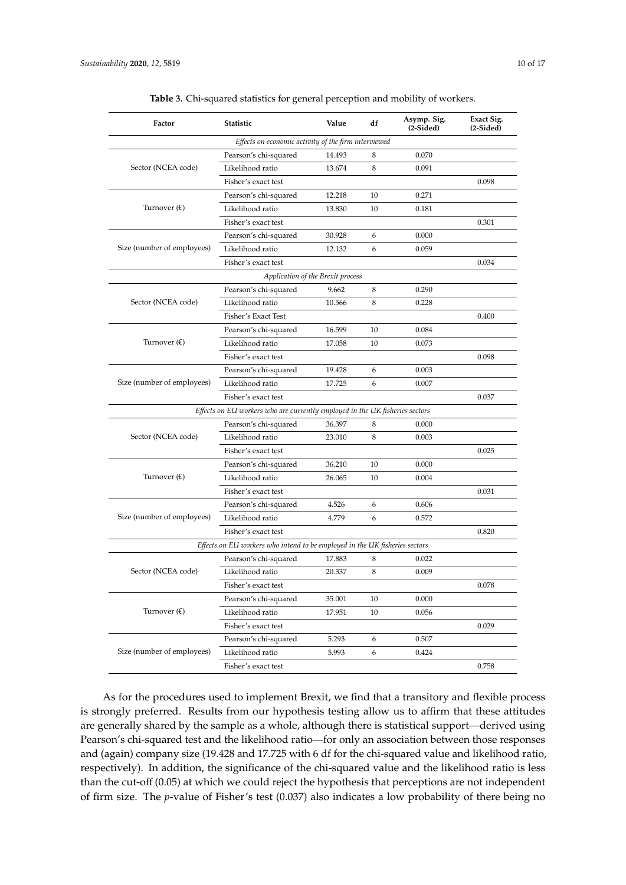<span id="page-9-0"></span>

| Factor                                                                       | <b>Statistic</b>                                                            | Value  | df | Asymp. Sig.<br>$(2-Sided)$ | Exact Sig.<br>$(2-Sided)$ |
|------------------------------------------------------------------------------|-----------------------------------------------------------------------------|--------|----|----------------------------|---------------------------|
|                                                                              | Effects on economic activity of the firm interviewed                        |        |    |                            |                           |
|                                                                              | Pearson's chi-squared                                                       | 14.493 | 8  | 0.070                      |                           |
| Sector (NCEA code)                                                           | Likelihood ratio                                                            | 13.674 | 8  | 0.091                      |                           |
|                                                                              | Fisher's exact test                                                         |        |    |                            | 0.098                     |
|                                                                              | Pearson's chi-squared                                                       | 12.218 | 10 | 0.271                      |                           |
| Turnover $(\epsilon)$                                                        | Likelihood ratio                                                            | 13.830 | 10 | 0.181                      |                           |
|                                                                              | Fisher's exact test                                                         |        |    |                            | 0.301                     |
|                                                                              | Pearson's chi-squared                                                       | 30.928 | 6  | 0.000                      |                           |
| Size (number of employees)                                                   | Likelihood ratio                                                            | 12.132 | 6  | 0.059                      |                           |
|                                                                              | Fisher's exact test                                                         |        |    |                            | 0.034                     |
|                                                                              | Application of the Brexit process                                           |        |    |                            |                           |
|                                                                              | Pearson's chi-squared                                                       | 9.662  | 8  | 0.290                      |                           |
| Sector (NCEA code)                                                           | Likelihood ratio                                                            | 10.566 | 8  | 0.228                      |                           |
|                                                                              | Fisher's Exact Test                                                         |        |    |                            | 0.400                     |
|                                                                              | Pearson's chi-squared                                                       | 16.599 | 10 | 0.084                      |                           |
| Turnover $(\epsilon)$                                                        | Likelihood ratio                                                            | 17.058 | 10 | 0.073                      |                           |
|                                                                              | Fisher's exact test                                                         |        |    |                            | 0.098                     |
|                                                                              | Pearson's chi-squared                                                       | 19.428 | 6  | 0.003                      |                           |
| Size (number of employees)                                                   | Likelihood ratio                                                            | 17.725 | 6  | 0.007                      |                           |
|                                                                              | Fisher's exact test                                                         |        |    |                            | 0.037                     |
| Effects on EU workers who are currently employed in the UK fisheries sectors |                                                                             |        |    |                            |                           |
|                                                                              | Pearson's chi-squared                                                       | 36.397 | 8  | 0.000                      |                           |
| Sector (NCEA code)                                                           | Likelihood ratio                                                            | 23.010 | 8  | 0.003                      |                           |
|                                                                              | Fisher's exact test                                                         |        |    |                            | 0.025                     |
|                                                                              | Pearson's chi-squared                                                       | 36.210 | 10 | 0.000                      |                           |
| Turnover $(\epsilon)$                                                        | Likelihood ratio                                                            | 26.065 | 10 | 0.004                      |                           |
|                                                                              | Fisher's exact test                                                         |        |    |                            | 0.031                     |
|                                                                              | Pearson's chi-squared                                                       | 4.526  | 6  | 0.606                      |                           |
| Size (number of employees)                                                   | Likelihood ratio                                                            | 4.779  | 6  | 0.572                      |                           |
|                                                                              | Fisher's exact test                                                         |        |    |                            | 0.820                     |
|                                                                              | Effects on EU workers who intend to be employed in the UK fisheries sectors |        |    |                            |                           |
|                                                                              | Pearson's chi-squared                                                       | 17.883 | 8  | 0.022                      |                           |
| Sector (NCEA code)                                                           | Likelihood ratio                                                            | 20.337 | 8  | 0.009                      |                           |
|                                                                              | Fisher's exact test                                                         |        |    |                            | 0.078                     |
| Turnover $(\epsilon)$                                                        | Pearson's chi-squared                                                       | 35.001 | 10 | 0.000                      |                           |
|                                                                              | Likelihood ratio                                                            | 17.951 | 10 | 0.056                      |                           |
|                                                                              | Fisher's exact test                                                         |        |    |                            | 0.029                     |
|                                                                              | Pearson's chi-squared                                                       | 5.293  | 6  | 0.507                      |                           |
| Size (number of employees)                                                   | Likelihood ratio                                                            | 5.993  | 6  | 0.424                      |                           |
|                                                                              | Fisher's exact test                                                         |        |    |                            | 0.758                     |

| <b>Table 3.</b> Chi-squared statistics for general perception and mobility of workers. |  |  |
|----------------------------------------------------------------------------------------|--|--|
|----------------------------------------------------------------------------------------|--|--|

As for the procedures used to implement Brexit, we find that a transitory and flexible process is strongly preferred. Results from our hypothesis testing allow us to affirm that these attitudes are generally shared by the sample as a whole, although there is statistical support—derived using Pearson's chi-squared test and the likelihood ratio—for only an association between those responses and (again) company size (19.428 and 17.725 with 6 df for the chi-squared value and likelihood ratio, respectively). In addition, the significance of the chi-squared value and the likelihood ratio is less than the cut-off (0.05) at which we could reject the hypothesis that perceptions are not independent of firm size. The *p*-value of Fisher's test (0.037) also indicates a low probability of there being no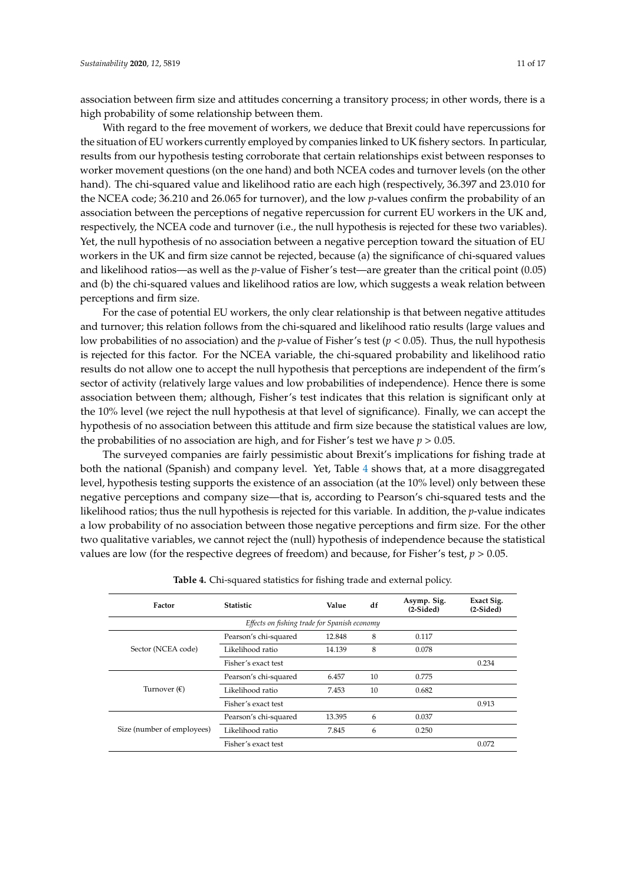association between firm size and attitudes concerning a transitory process; in other words, there is a high probability of some relationship between them.

With regard to the free movement of workers, we deduce that Brexit could have repercussions for the situation of EU workers currently employed by companies linked to UK fishery sectors. In particular, results from our hypothesis testing corroborate that certain relationships exist between responses to worker movement questions (on the one hand) and both NCEA codes and turnover levels (on the other hand). The chi-squared value and likelihood ratio are each high (respectively, 36.397 and 23.010 for the NCEA code; 36.210 and 26.065 for turnover), and the low *p*-values confirm the probability of an association between the perceptions of negative repercussion for current EU workers in the UK and, respectively, the NCEA code and turnover (i.e., the null hypothesis is rejected for these two variables). Yet, the null hypothesis of no association between a negative perception toward the situation of EU workers in the UK and firm size cannot be rejected, because (a) the significance of chi-squared values and likelihood ratios—as well as the *p*-value of Fisher's test—are greater than the critical point (0.05) and (b) the chi-squared values and likelihood ratios are low, which suggests a weak relation between perceptions and firm size.

For the case of potential EU workers, the only clear relationship is that between negative attitudes and turnover; this relation follows from the chi-squared and likelihood ratio results (large values and low probabilities of no association) and the *p*-value of Fisher's test (*p* < 0.05). Thus, the null hypothesis is rejected for this factor. For the NCEA variable, the chi-squared probability and likelihood ratio results do not allow one to accept the null hypothesis that perceptions are independent of the firm's sector of activity (relatively large values and low probabilities of independence). Hence there is some association between them; although, Fisher's test indicates that this relation is significant only at the 10% level (we reject the null hypothesis at that level of significance). Finally, we can accept the hypothesis of no association between this attitude and firm size because the statistical values are low, the probabilities of no association are high, and for Fisher's test we have *p* > 0.05.

The surveyed companies are fairly pessimistic about Brexit's implications for fishing trade at both the national (Spanish) and company level. Yet, Table [4](#page-11-0) shows that, at a more disaggregated level, hypothesis testing supports the existence of an association (at the 10% level) only between these negative perceptions and company size—that is, according to Pearson's chi-squared tests and the likelihood ratios; thus the null hypothesis is rejected for this variable. In addition, the *p*-value indicates a low probability of no association between those negative perceptions and firm size. For the other two qualitative variables, we cannot reject the (null) hypothesis of independence because the statistical values are low (for the respective degrees of freedom) and because, for Fisher's test, *p* > 0.05.

| Factor                                       | <b>Statistic</b>      | Value  | df | Asymp. Sig.<br>$(2-Sided)$ | Exact Sig.<br>$(2-Sided)$ |
|----------------------------------------------|-----------------------|--------|----|----------------------------|---------------------------|
| Effects on fishing trade for Spanish economy |                       |        |    |                            |                           |
|                                              | Pearson's chi-squared | 12.848 | 8  | 0.117                      |                           |
| Sector (NCEA code)                           | Likelihood ratio      | 14.139 | 8  | 0.078                      |                           |
|                                              | Fisher's exact test   |        |    |                            | 0.234                     |
| Turnover $(\epsilon)$                        | Pearson's chi-squared | 6.457  | 10 | 0.775                      |                           |
|                                              | Likelihood ratio      | 7.453  | 10 | 0.682                      |                           |
|                                              | Fisher's exact test   |        |    |                            | 0.913                     |
| Size (number of employees)                   | Pearson's chi-squared | 13.395 | 6  | 0.037                      |                           |
|                                              | Likelihood ratio      | 7.845  | 6  | 0.250                      |                           |
|                                              | Fisher's exact test   |        |    |                            | 0.072                     |
|                                              |                       |        |    |                            |                           |

**Table 4.** Chi-squared statistics for fishing trade and external policy.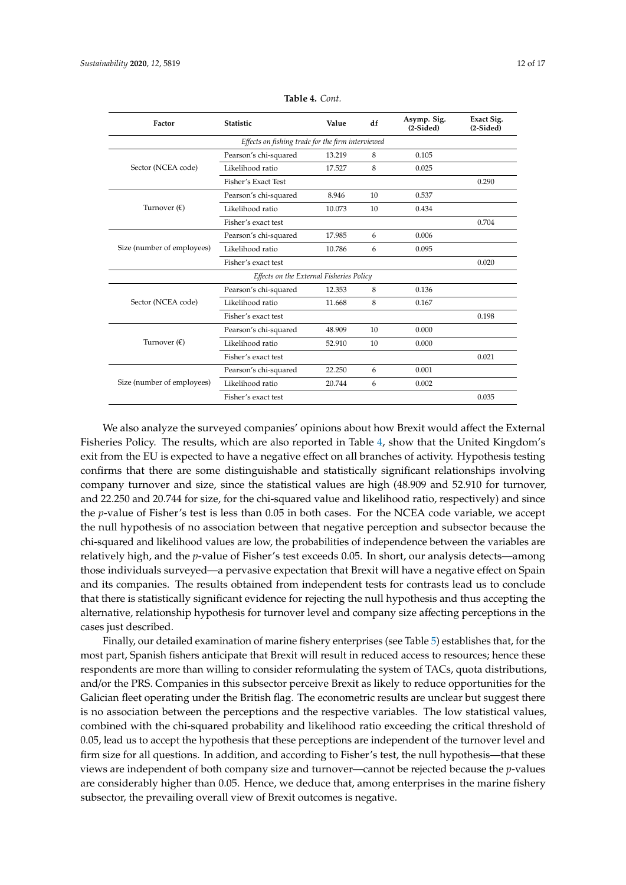<span id="page-11-0"></span>

| Factor                                            | Value<br>df<br><b>Statistic</b> |        |    | Asymp. Sig.<br>$(2-Sided)$ | Exact Sig.<br>$(2-Sided)$ |
|---------------------------------------------------|---------------------------------|--------|----|----------------------------|---------------------------|
| Effects on fishing trade for the firm interviewed |                                 |        |    |                            |                           |
|                                                   | Pearson's chi-squared           | 13.219 | 8  | 0.105                      |                           |
| Sector (NCEA code)                                | Likelihood ratio                | 17.527 | 8  | 0.025                      |                           |
|                                                   | Fisher's Exact Test             |        |    |                            | 0.290                     |
|                                                   | Pearson's chi-squared           | 8.946  | 10 | 0.537                      |                           |
| Turnover $(\epsilon)$                             | Likelihood ratio                | 10.073 | 10 | 0.434                      |                           |
|                                                   | Fisher's exact test             |        |    |                            | 0.704                     |
| Size (number of employees)                        | Pearson's chi-squared           | 17.985 | 6  | 0.006                      |                           |
|                                                   | Likelihood ratio                | 10.786 | 6  | 0.095                      |                           |
|                                                   | Fisher's exact test             |        |    |                            | 0.020                     |
| Effects on the External Fisheries Policy          |                                 |        |    |                            |                           |
|                                                   | Pearson's chi-squared           | 12.353 | 8  | 0.136                      |                           |
| Sector (NCEA code)                                | Likelihood ratio                | 11.668 | 8  | 0.167                      |                           |
|                                                   | Fisher's exact test             |        |    |                            | 0.198                     |
|                                                   | Pearson's chi-squared           | 48.909 | 10 | 0.000                      |                           |
| Turnover $(\epsilon)$                             | Likelihood ratio                | 52.910 | 10 | 0.000                      |                           |
|                                                   | Fisher's exact test             |        |    |                            | 0.021                     |
|                                                   | Pearson's chi-squared           | 22.250 | 6  | 0.001                      |                           |
| Size (number of employees)                        | Likelihood ratio                | 20.744 | 6  | 0.002                      |                           |
|                                                   | Fisher's exact test             |        |    |                            | 0.035                     |

**Table 4.** *Cont.*

We also analyze the surveyed companies' opinions about how Brexit would affect the External Fisheries Policy. The results, which are also reported in Table [4,](#page-11-0) show that the United Kingdom's exit from the EU is expected to have a negative effect on all branches of activity. Hypothesis testing confirms that there are some distinguishable and statistically significant relationships involving company turnover and size, since the statistical values are high (48.909 and 52.910 for turnover, and 22.250 and 20.744 for size, for the chi-squared value and likelihood ratio, respectively) and since the *p*-value of Fisher's test is less than 0.05 in both cases. For the NCEA code variable, we accept the null hypothesis of no association between that negative perception and subsector because the chi-squared and likelihood values are low, the probabilities of independence between the variables are relatively high, and the *p*-value of Fisher's test exceeds 0.05. In short, our analysis detects—among those individuals surveyed—a pervasive expectation that Brexit will have a negative effect on Spain and its companies. The results obtained from independent tests for contrasts lead us to conclude that there is statistically significant evidence for rejecting the null hypothesis and thus accepting the alternative, relationship hypothesis for turnover level and company size affecting perceptions in the cases just described.

Finally, our detailed examination of marine fishery enterprises (see Table [5\)](#page-12-0) establishes that, for the most part, Spanish fishers anticipate that Brexit will result in reduced access to resources; hence these respondents are more than willing to consider reformulating the system of TACs, quota distributions, and/or the PRS. Companies in this subsector perceive Brexit as likely to reduce opportunities for the Galician fleet operating under the British flag. The econometric results are unclear but suggest there is no association between the perceptions and the respective variables. The low statistical values, combined with the chi-squared probability and likelihood ratio exceeding the critical threshold of 0.05, lead us to accept the hypothesis that these perceptions are independent of the turnover level and firm size for all questions. In addition, and according to Fisher's test, the null hypothesis—that these views are independent of both company size and turnover—cannot be rejected because the *p*-values are considerably higher than 0.05. Hence, we deduce that, among enterprises in the marine fishery subsector, the prevailing overall view of Brexit outcomes is negative.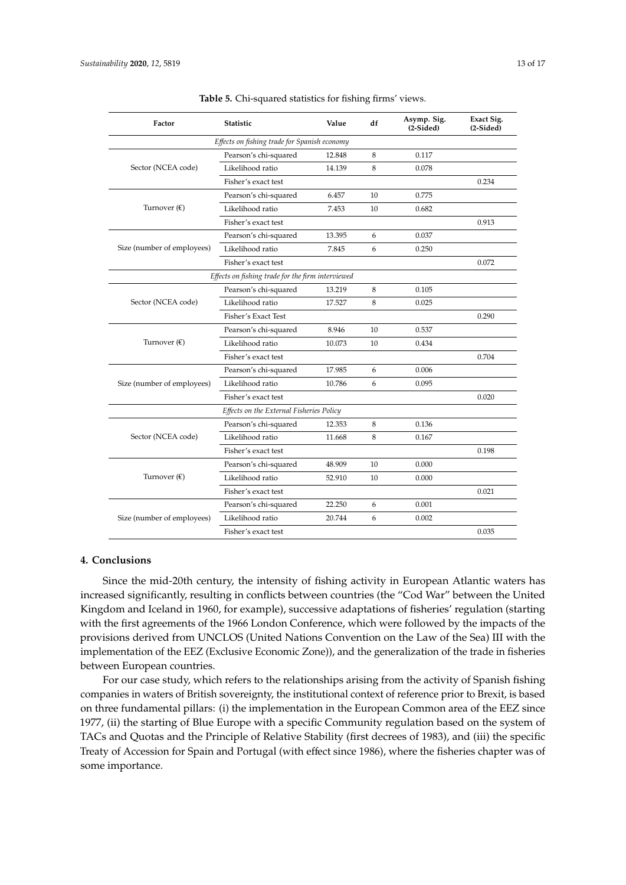<span id="page-12-0"></span>

| Factor                     | Statistic                                         | Value  | df | Asymp. Sig.<br>$(2-Sided)$ | Exact Sig.<br>$(2-Sided)$ |
|----------------------------|---------------------------------------------------|--------|----|----------------------------|---------------------------|
|                            | Effects on fishing trade for Spanish economy      |        |    |                            |                           |
|                            | Pearson's chi-squared                             | 12.848 | 8  | 0.117                      |                           |
| Sector (NCEA code)         | Likelihood ratio                                  | 14.139 | 8  | 0.078                      |                           |
|                            | Fisher's exact test                               |        |    |                            | 0.234                     |
|                            | Pearson's chi-squared                             | 6.457  | 10 | 0.775                      |                           |
| Turnover $(\epsilon)$      | Likelihood ratio                                  | 7.453  | 10 | 0.682                      |                           |
|                            | Fisher's exact test                               |        |    |                            | 0.913                     |
|                            | Pearson's chi-squared                             | 13.395 | 6  | 0.037                      |                           |
| Size (number of employees) | Likelihood ratio                                  | 7.845  | 6  | 0.250                      |                           |
|                            | Fisher's exact test                               |        |    |                            | 0.072                     |
|                            | Effects on fishing trade for the firm interviewed |        |    |                            |                           |
|                            | Pearson's chi-squared                             | 13.219 | 8  | 0.105                      |                           |
| Sector (NCEA code)         | Likelihood ratio                                  | 17.527 | 8  | 0.025                      |                           |
|                            | Fisher's Exact Test                               |        |    |                            | 0.290                     |
|                            | Pearson's chi-squared                             | 8.946  | 10 | 0.537                      |                           |
| Turnover $(\epsilon)$      | Likelihood ratio                                  | 10.073 | 10 | 0.434                      |                           |
|                            | Fisher's exact test                               |        |    |                            | 0.704                     |
|                            | Pearson's chi-squared                             | 17.985 | 6  | 0.006                      |                           |
| Size (number of employees) | Likelihood ratio                                  | 10.786 | 6  | 0.095                      |                           |
|                            | Fisher's exact test                               |        |    |                            | 0.020                     |
|                            | Effects on the External Fisheries Policy          |        |    |                            |                           |
|                            | Pearson's chi-squared                             | 12.353 | 8  | 0.136                      |                           |
| Sector (NCEA code)         | Likelihood ratio                                  | 11.668 | 8  | 0.167                      |                           |
|                            | Fisher's exact test                               |        |    |                            | 0.198                     |
|                            | Pearson's chi-squared                             | 48.909 | 10 | 0.000                      |                           |
| Turnover $(\epsilon)$      | Likelihood ratio                                  | 52.910 | 10 | 0.000                      |                           |
|                            | Fisher's exact test                               |        |    |                            | 0.021                     |
|                            | Pearson's chi-squared                             | 22.250 | 6  | 0.001                      |                           |
| Size (number of employees) | Likelihood ratio                                  | 20.744 | 6  | 0.002                      |                           |
|                            | Fisher's exact test                               |        |    |                            | 0.035                     |

|  |  | Table 5. Chi-squared statistics for fishing firms' views. |  |  |  |  |
|--|--|-----------------------------------------------------------|--|--|--|--|
|--|--|-----------------------------------------------------------|--|--|--|--|

#### **4. Conclusions**

Since the mid-20th century, the intensity of fishing activity in European Atlantic waters has increased significantly, resulting in conflicts between countries (the "Cod War" between the United Kingdom and Iceland in 1960, for example), successive adaptations of fisheries' regulation (starting with the first agreements of the 1966 London Conference, which were followed by the impacts of the provisions derived from UNCLOS (United Nations Convention on the Law of the Sea) III with the implementation of the EEZ (Exclusive Economic Zone)), and the generalization of the trade in fisheries between European countries.

For our case study, which refers to the relationships arising from the activity of Spanish fishing companies in waters of British sovereignty, the institutional context of reference prior to Brexit, is based on three fundamental pillars: (i) the implementation in the European Common area of the EEZ since 1977, (ii) the starting of Blue Europe with a specific Community regulation based on the system of TACs and Quotas and the Principle of Relative Stability (first decrees of 1983), and (iii) the specific Treaty of Accession for Spain and Portugal (with effect since 1986), where the fisheries chapter was of some importance.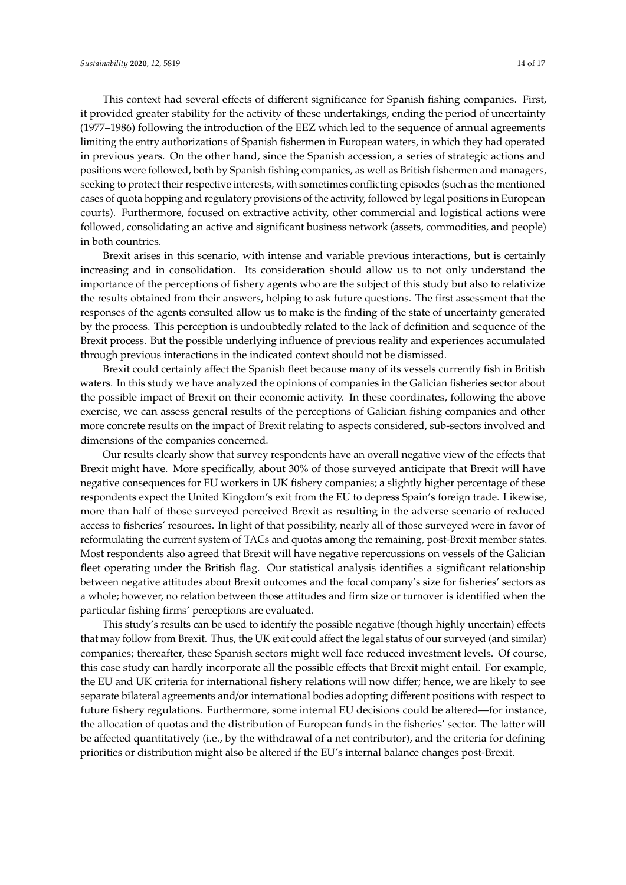This context had several effects of different significance for Spanish fishing companies. First, it provided greater stability for the activity of these undertakings, ending the period of uncertainty (1977–1986) following the introduction of the EEZ which led to the sequence of annual agreements limiting the entry authorizations of Spanish fishermen in European waters, in which they had operated in previous years. On the other hand, since the Spanish accession, a series of strategic actions and positions were followed, both by Spanish fishing companies, as well as British fishermen and managers, seeking to protect their respective interests, with sometimes conflicting episodes (such as the mentioned cases of quota hopping and regulatory provisions of the activity, followed by legal positions in European courts). Furthermore, focused on extractive activity, other commercial and logistical actions were followed, consolidating an active and significant business network (assets, commodities, and people) in both countries.

Brexit arises in this scenario, with intense and variable previous interactions, but is certainly increasing and in consolidation. Its consideration should allow us to not only understand the importance of the perceptions of fishery agents who are the subject of this study but also to relativize the results obtained from their answers, helping to ask future questions. The first assessment that the responses of the agents consulted allow us to make is the finding of the state of uncertainty generated by the process. This perception is undoubtedly related to the lack of definition and sequence of the Brexit process. But the possible underlying influence of previous reality and experiences accumulated through previous interactions in the indicated context should not be dismissed.

Brexit could certainly affect the Spanish fleet because many of its vessels currently fish in British waters. In this study we have analyzed the opinions of companies in the Galician fisheries sector about the possible impact of Brexit on their economic activity. In these coordinates, following the above exercise, we can assess general results of the perceptions of Galician fishing companies and other more concrete results on the impact of Brexit relating to aspects considered, sub-sectors involved and dimensions of the companies concerned.

Our results clearly show that survey respondents have an overall negative view of the effects that Brexit might have. More specifically, about 30% of those surveyed anticipate that Brexit will have negative consequences for EU workers in UK fishery companies; a slightly higher percentage of these respondents expect the United Kingdom's exit from the EU to depress Spain's foreign trade. Likewise, more than half of those surveyed perceived Brexit as resulting in the adverse scenario of reduced access to fisheries' resources. In light of that possibility, nearly all of those surveyed were in favor of reformulating the current system of TACs and quotas among the remaining, post-Brexit member states. Most respondents also agreed that Brexit will have negative repercussions on vessels of the Galician fleet operating under the British flag. Our statistical analysis identifies a significant relationship between negative attitudes about Brexit outcomes and the focal company's size for fisheries' sectors as a whole; however, no relation between those attitudes and firm size or turnover is identified when the particular fishing firms' perceptions are evaluated.

This study's results can be used to identify the possible negative (though highly uncertain) effects that may follow from Brexit. Thus, the UK exit could affect the legal status of our surveyed (and similar) companies; thereafter, these Spanish sectors might well face reduced investment levels. Of course, this case study can hardly incorporate all the possible effects that Brexit might entail. For example, the EU and UK criteria for international fishery relations will now differ; hence, we are likely to see separate bilateral agreements and/or international bodies adopting different positions with respect to future fishery regulations. Furthermore, some internal EU decisions could be altered—for instance, the allocation of quotas and the distribution of European funds in the fisheries' sector. The latter will be affected quantitatively (i.e., by the withdrawal of a net contributor), and the criteria for defining priorities or distribution might also be altered if the EU's internal balance changes post-Brexit.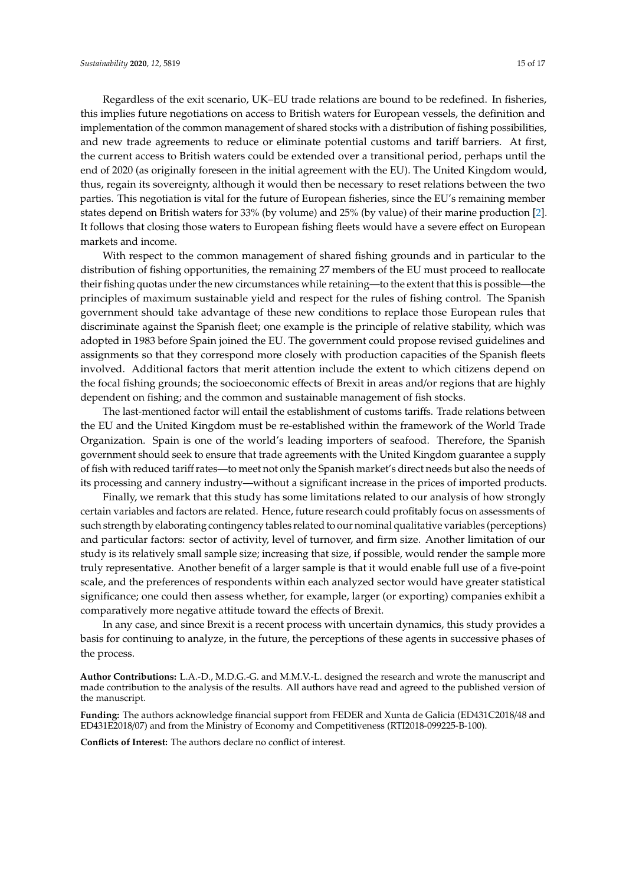Regardless of the exit scenario, UK–EU trade relations are bound to be redefined. In fisheries, this implies future negotiations on access to British waters for European vessels, the definition and implementation of the common management of shared stocks with a distribution of fishing possibilities, and new trade agreements to reduce or eliminate potential customs and tariff barriers. At first, the current access to British waters could be extended over a transitional period, perhaps until the end of 2020 (as originally foreseen in the initial agreement with the EU). The United Kingdom would, thus, regain its sovereignty, although it would then be necessary to reset relations between the two parties. This negotiation is vital for the future of European fisheries, since the EU's remaining member states depend on British waters for 33% (by volume) and 25% (by value) of their marine production [\[2\]](#page-15-1). It follows that closing those waters to European fishing fleets would have a severe effect on European markets and income.

With respect to the common management of shared fishing grounds and in particular to the distribution of fishing opportunities, the remaining 27 members of the EU must proceed to reallocate their fishing quotas under the new circumstances while retaining—to the extent that this is possible—the principles of maximum sustainable yield and respect for the rules of fishing control. The Spanish government should take advantage of these new conditions to replace those European rules that discriminate against the Spanish fleet; one example is the principle of relative stability, which was adopted in 1983 before Spain joined the EU. The government could propose revised guidelines and assignments so that they correspond more closely with production capacities of the Spanish fleets involved. Additional factors that merit attention include the extent to which citizens depend on the focal fishing grounds; the socioeconomic effects of Brexit in areas and/or regions that are highly dependent on fishing; and the common and sustainable management of fish stocks.

The last-mentioned factor will entail the establishment of customs tariffs. Trade relations between the EU and the United Kingdom must be re-established within the framework of the World Trade Organization. Spain is one of the world's leading importers of seafood. Therefore, the Spanish government should seek to ensure that trade agreements with the United Kingdom guarantee a supply of fish with reduced tariff rates—to meet not only the Spanish market's direct needs but also the needs of its processing and cannery industry—without a significant increase in the prices of imported products.

Finally, we remark that this study has some limitations related to our analysis of how strongly certain variables and factors are related. Hence, future research could profitably focus on assessments of such strength by elaborating contingency tables related to our nominal qualitative variables (perceptions) and particular factors: sector of activity, level of turnover, and firm size. Another limitation of our study is its relatively small sample size; increasing that size, if possible, would render the sample more truly representative. Another benefit of a larger sample is that it would enable full use of a five-point scale, and the preferences of respondents within each analyzed sector would have greater statistical significance; one could then assess whether, for example, larger (or exporting) companies exhibit a comparatively more negative attitude toward the effects of Brexit.

In any case, and since Brexit is a recent process with uncertain dynamics, this study provides a basis for continuing to analyze, in the future, the perceptions of these agents in successive phases of the process.

**Author Contributions:** L.A.-D., M.D.G.-G. and M.M.V.-L. designed the research and wrote the manuscript and made contribution to the analysis of the results. All authors have read and agreed to the published version of the manuscript.

**Funding:** The authors acknowledge financial support from FEDER and Xunta de Galicia (ED431C2018/48 and ED431E2018/07) and from the Ministry of Economy and Competitiveness (RTI2018-099225-B-100).

**Conflicts of Interest:** The authors declare no conflict of interest.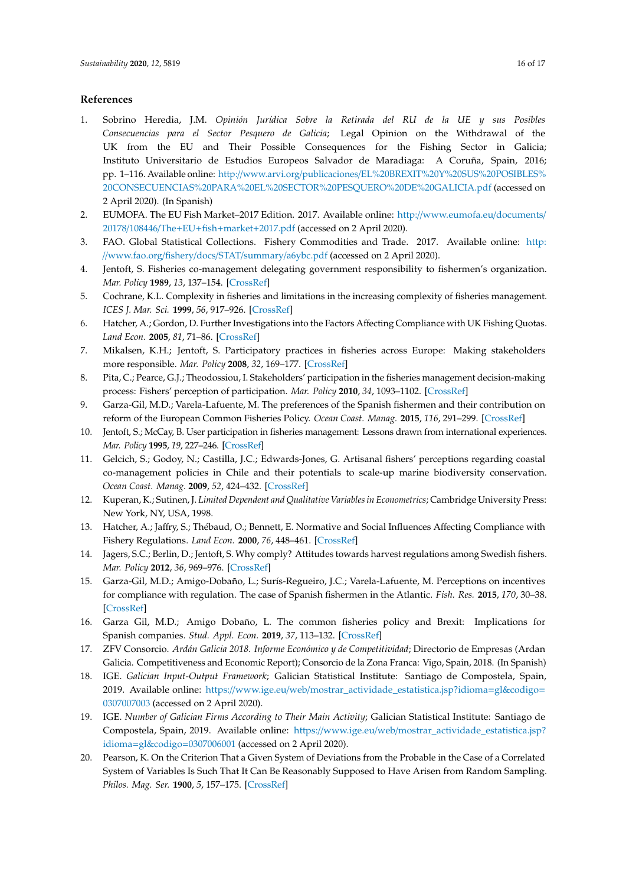#### **References**

- <span id="page-15-0"></span>1. Sobrino Heredia, J.M. *Opinión Jurídica Sobre la Retirada del RU de la UE y sus Posibles Consecuencias para el Sector Pesquero de Galicia*; Legal Opinion on the Withdrawal of the UK from the EU and Their Possible Consequences for the Fishing Sector in Galicia; Instituto Universitario de Estudios Europeos Salvador de Maradiaga: A Coruña, Spain, 2016; pp. 1–116. Available online: http://www.arvi.org/publicaciones/[EL%20BREXIT%20Y%20SUS%20POSIBLES%](http://www.arvi.org/publicaciones/EL%20BREXIT%20Y%20SUS%20POSIBLES%20CONSECUENCIAS%20PARA%20EL%20SECTOR%20PESQUERO%20DE%20GALICIA.pdf) [20CONSECUENCIAS%20PARA%20EL%20SECTOR%20PESQUERO%20DE%20GALICIA.pdf](http://www.arvi.org/publicaciones/EL%20BREXIT%20Y%20SUS%20POSIBLES%20CONSECUENCIAS%20PARA%20EL%20SECTOR%20PESQUERO%20DE%20GALICIA.pdf) (accessed on 2 April 2020). (In Spanish)
- <span id="page-15-1"></span>2. EUMOFA. The EU Fish Market–2017 Edition. 2017. Available online: http://[www.eumofa.eu](http://www.eumofa.eu/documents/20178/108446/The+EU+fish+market+2017.pdf)/documents/ 20178/108446/The+EU+fish+market+[2017.pdf](http://www.eumofa.eu/documents/20178/108446/The+EU+fish+market+2017.pdf) (accessed on 2 April 2020).
- <span id="page-15-2"></span>3. FAO. Global Statistical Collections. Fishery Commodities and Trade. 2017. Available online: [http:](http://www.fao.org/fishery/docs/STAT/summary/a6ybc.pdf) //[www.fao.org](http://www.fao.org/fishery/docs/STAT/summary/a6ybc.pdf)/fishery/docs/STAT/summary/a6ybc.pdf (accessed on 2 April 2020).
- <span id="page-15-3"></span>4. Jentoft, S. Fisheries co-management delegating government responsibility to fishermen's organization. *Mar. Policy* **1989**, *13*, 137–154. [\[CrossRef\]](http://dx.doi.org/10.1016/0308-597X(89)90004-3)
- <span id="page-15-4"></span>5. Cochrane, K.L. Complexity in fisheries and limitations in the increasing complexity of fisheries management. *ICES J. Mar. Sci.* **1999**, *56*, 917–926. [\[CrossRef\]](http://dx.doi.org/10.1006/jmsc.1999.0539)
- <span id="page-15-5"></span>6. Hatcher, A.; Gordon, D. Further Investigations into the Factors Affecting Compliance with UK Fishing Quotas. *Land Econ.* **2005**, *81*, 71–86. [\[CrossRef\]](http://dx.doi.org/10.3368/le.81.1.71)
- 7. Mikalsen, K.H.; Jentoft, S. Participatory practices in fisheries across Europe: Making stakeholders more responsible. *Mar. Policy* **2008**, *32*, 169–177. [\[CrossRef\]](http://dx.doi.org/10.1016/j.marpol.2007.09.003)
- <span id="page-15-7"></span>8. Pita, C.; Pearce, G.J.; Theodossiou, I. Stakeholders' participation in the fisheries management decision-making process: Fishers' perception of participation. *Mar. Policy* **2010**, *34*, 1093–1102. [\[CrossRef\]](http://dx.doi.org/10.1016/j.marpol.2010.03.009)
- <span id="page-15-6"></span>9. Garza-Gil, M.D.; Varela-Lafuente, M. The preferences of the Spanish fishermen and their contribution on reform of the European Common Fisheries Policy. *Ocean Coast. Manag.* **2015**, *116*, 291–299. [\[CrossRef\]](http://dx.doi.org/10.1016/j.ocecoaman.2015.07.031)
- <span id="page-15-8"></span>10. Jentoft, S.; McCay, B. User participation in fisheries management: Lessons drawn from international experiences. *Mar. Policy* **1995**, *19*, 227–246. [\[CrossRef\]](http://dx.doi.org/10.1016/0308-597X(94)00010-P)
- <span id="page-15-9"></span>11. Gelcich, S.; Godoy, N.; Castilla, J.C.; Edwards-Jones, G. Artisanal fishers' perceptions regarding coastal co-management policies in Chile and their potentials to scale-up marine biodiversity conservation. *Ocean Coast. Manag.* **2009**, *52*, 424–432. [\[CrossRef\]](http://dx.doi.org/10.1016/j.ocecoaman.2009.07.005)
- <span id="page-15-10"></span>12. Kuperan, K.; Sutinen, J. *Limited Dependent and Qualitative Variables in Econometrics*; Cambridge University Press: New York, NY, USA, 1998.
- 13. Hatcher, A.; Jaffry, S.; Thébaud, O.; Bennett, E. Normative and Social Influences Affecting Compliance with Fishery Regulations. *Land Econ.* **2000**, *76*, 448–461. [\[CrossRef\]](http://dx.doi.org/10.2307/3147040)
- 14. Jagers, S.C.; Berlin, D.; Jentoft, S. Why comply? Attitudes towards harvest regulations among Swedish fishers. *Mar. Policy* **2012**, *36*, 969–976. [\[CrossRef\]](http://dx.doi.org/10.1016/j.marpol.2012.02.004)
- <span id="page-15-11"></span>15. Garza-Gil, M.D.; Amigo-Dobaño, L.; Surís-Regueiro, J.C.; Varela-Lafuente, M. Perceptions on incentives for compliance with regulation. The case of Spanish fishermen in the Atlantic. *Fish. Res.* **2015**, *170*, 30–38. [\[CrossRef\]](http://dx.doi.org/10.1016/j.fishres.2015.05.012)
- <span id="page-15-12"></span>16. Garza Gil, M.D.; Amigo Dobaño, L. The common fisheries policy and Brexit: Implications for Spanish companies. *Stud. Appl. Econ.* **2019**, *37*, 113–132. [\[CrossRef\]](http://dx.doi.org/10.25115/eea.v37i3.2777)
- <span id="page-15-13"></span>17. ZFV Consorcio. *Ardán Galicia 2018. Informe Económico y de Competitividad*; Directorio de Empresas (Ardan Galicia. Competitiveness and Economic Report); Consorcio de la Zona Franca: Vigo, Spain, 2018. (In Spanish)
- <span id="page-15-14"></span>18. IGE. *Galician Input-Output Framework*; Galician Statistical Institute: Santiago de Compostela, Spain, 2019. Available online: https://www.ige.eu/web/[mostrar\\_actividade\\_estatistica.jsp?idioma](https://www.ige.eu/web/mostrar_actividade_estatistica.jsp?idioma=gl&codigo=0307007003)=gl&codigo= [0307007003](https://www.ige.eu/web/mostrar_actividade_estatistica.jsp?idioma=gl&codigo=0307007003) (accessed on 2 April 2020).
- <span id="page-15-15"></span>19. IGE. *Number of Galician Firms According to Their Main Activity*; Galician Statistical Institute: Santiago de Compostela, Spain, 2019. Available online: https://www.ige.eu/web/[mostrar\\_actividade\\_estatistica.jsp?](https://www.ige.eu/web/mostrar_actividade_estatistica.jsp?idioma=gl&codigo=0307006001) idioma=gl&codigo=[0307006001](https://www.ige.eu/web/mostrar_actividade_estatistica.jsp?idioma=gl&codigo=0307006001) (accessed on 2 April 2020).
- <span id="page-15-16"></span>20. Pearson, K. On the Criterion That a Given System of Deviations from the Probable in the Case of a Correlated System of Variables Is Such That It Can Be Reasonably Supposed to Have Arisen from Random Sampling. *Philos. Mag. Ser.* **1900**, *5*, 157–175. [\[CrossRef\]](http://dx.doi.org/10.1080/14786440009463897)